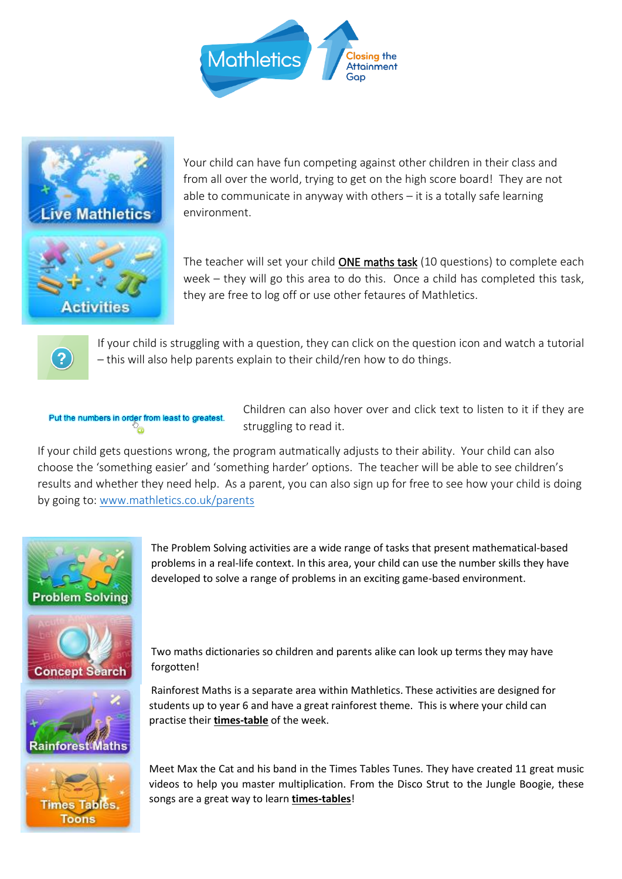



Your child can have fun competing against other children in their class and from all over the world, trying to get on the high score board! They are not able to communicate in anyway with others – it is a totally safe learning environment.

The teacher will set your child ONE maths task (10 questions) to complete each week – they will go this area to do this. Once a child has completed this task, they are free to log off or use other fetaures of Mathletics.



If your child is struggling with a question, they can click on the question icon and watch a tutorial – this will also help parents explain to their child/ren how to do things.

Put the numbers in order from least to greatest.

Children can also hover over and click text to listen to it if they are struggling to read it.

If your child gets questions wrong, the program autmatically adjusts to their ability. Your child can also choose the 'something easier' and 'something harder' options. The teacher will be able to see children's results and whether they need help. As a parent, you can also sign up for free to see how your child is doing by going to: [www.mathletics.co.uk/parents](http://www.mathletics.co.uk/parents)



The Problem Solving activities are a wide range of tasks that present mathematical-based problems in a real-life context. In this area, your child can use the number skills they have developed to solve a range of problems in an exciting game-based environment.



Two maths dictionaries so children and parents alike can look up terms they may have forgotten!



Rainforest Maths is a separate area within Mathletics. These activities are designed for students up to year 6 and have a great rainforest theme. This is where your child can practise their **times-table** of the week.



Meet Max the Cat and his band in the Times Tables Tunes. They have created 11 great music videos to help you master multiplication. From the Disco Strut to the Jungle Boogie, these songs are a great way to learn **times-tables**!